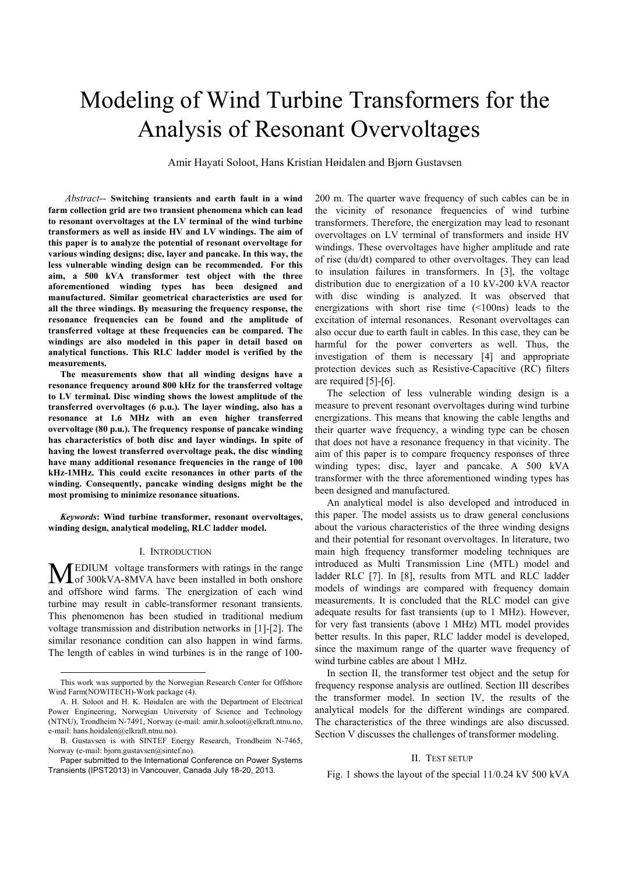# Modeling of Wind Turbine Transformers for the Analysis of Resonant Overvoltages

Amir Hayati Soloot, Hans Kristian Høidalen and Bjørn Gustavsen

*Abstract*-- **Switching transients and earth fault in a wind farm collection grid are two transient phenomena which can lead to resonant overvoltages at the LV terminal of the wind turbine transformers as well as inside HV and LV windings. The aim of this paper is to analyze the potential of resonant overvoltage for various winding designs; disc, layer and pancake. In this way, the less vulnerable winding design can be recommended. For this aim, a 500 kVA transformer test object with the three aforementioned winding types has been designed and manufactured. Similar geometrical characteristics are used for all the three windings. By measuring the frequency response, the resonance frequencies can be found and the amplitude of transferred voltage at these frequencies can be compared. The windings are also modeled in this paper in detail based on analytical functions. This RLC ladder model is verified by the measurements.** 

**The measurements show that all winding designs have a resonance frequency around 800 kHz for the transferred voltage to LV terminal. Disc winding shows the lowest amplitude of the transferred overvoltages (6 p.u.). The layer winding, also has a resonance at 1.6 MHz with an even higher transferred overvoltage (80 p.u.). The frequency response of pancake winding has characteristics of both disc and layer windings. In spite of having the lowest transferred overvoltage peak, the disc winding have many additional resonance frequencies in the range of 100 kHz-1MHz. This could excite resonances in other parts of the winding. Consequently, pancake winding designs might be the most promising to minimize resonance situations.** 

*Keywords***: Wind turbine transformer, resonant overvoltages, winding design, analytical modeling, RLC ladder model.** 

#### I. INTRODUCTION

EDIUM voltage transformers with ratings in the range **MEDIUM** voltage transformers with ratings in the range of 300kVA-8MVA have been installed in both onshore and offshore wind farms. The energization of each wind turbine may result in cable-transformer resonant transients. This phenomenon has been studied in traditional medium voltage transmission and distribution networks in [1]-[2]. The similar resonance condition can also happen in wind farms. The length of cables in wind turbines is in the range of 100-

1

200 m. The quarter wave frequency of such cables can be in the vicinity of resonance frequencies of wind turbine transformers. Therefore, the energization may lead to resonant overvoltages on LV terminal of transformers and inside HV windings. These overvoltages have higher amplitude and rate of rise (du/dt) compared to other overvoltages. They can lead to insulation failures in transformers. In [3], the voltage distribution due to energization of a 10 kV-200 kVA reactor with disc winding is analyzed. It was observed that energizations with short rise time (<100ns) leads to the excitation of internal resonances. Resonant overvoltages can also occur due to earth fault in cables. In this case, they can be harmful for the power converters as well. Thus, the investigation of them is necessary [4] and appropriate protection devices such as Resistive-Capacitive (RC) filters are required [5]-[6].

The selection of less vulnerable winding design is a measure to prevent resonant overvoltages during wind turbine energizations. This means that knowing the cable lengths and their quarter wave frequency, a winding type can be chosen that does not have a resonance frequency in that vicinity. The aim of this paper is to compare frequency responses of three winding types; disc, layer and pancake. A 500 kVA transformer with the three aforementioned winding types has been designed and manufactured.

An analytical model is also developed and introduced in this paper. The model assists us to draw general conclusions about the various characteristics of the three winding designs and their potential for resonant overvoltages. In literature, two main high frequency transformer modeling techniques are introduced as Multi Transmission Line (MTL) model and ladder RLC [7]. In [8], results from MTL and RLC ladder models of windings are compared with frequency domain measurements. It is concluded that the RLC model can give adequate results for fast transients (up to 1 MHz). However, for very fast transients (above 1 MHz) MTL model provides better results. In this paper, RLC ladder model is developed, since the maximum range of the quarter wave frequency of wind turbine cables are about 1 MHz.

In section II, the transformer test object and the setup for frequency response analysis are outlined. Section III describes the transformer model. In section IV, the results of the analytical models for the different windings are compared. The characteristics of the three windings are also discussed. Section V discusses the challenges of transformer modeling.

### II. TEST SETUP

Fig. 1 shows the layout of the special 11/0.24 kV 500 kVA

This work was supported by the Norwegian Research Center for Offshore Wind Farm(NOWITECH)-Work package (4).

A. H. Soloot and H. K. Høidalen are with the Department of Electrical Power Engineering, Norwegian University of Science and Technology (NTNU), Trondheim N-7491, Norway (e-mail: amir.h.soloot@elkraft.ntnu.no, e-mail: hans.hoidalen@elkraft.ntnu.no).

B. Gustavsen is with SINTEF Energy Research, Trondheim N-7465, Norway (e-mail: bjorn.gustavsen@sintef.no).

Paper submitted to the International Conference on Power Systems Transients (IPST2013) in Vancouver, Canada July 18-20, 2013.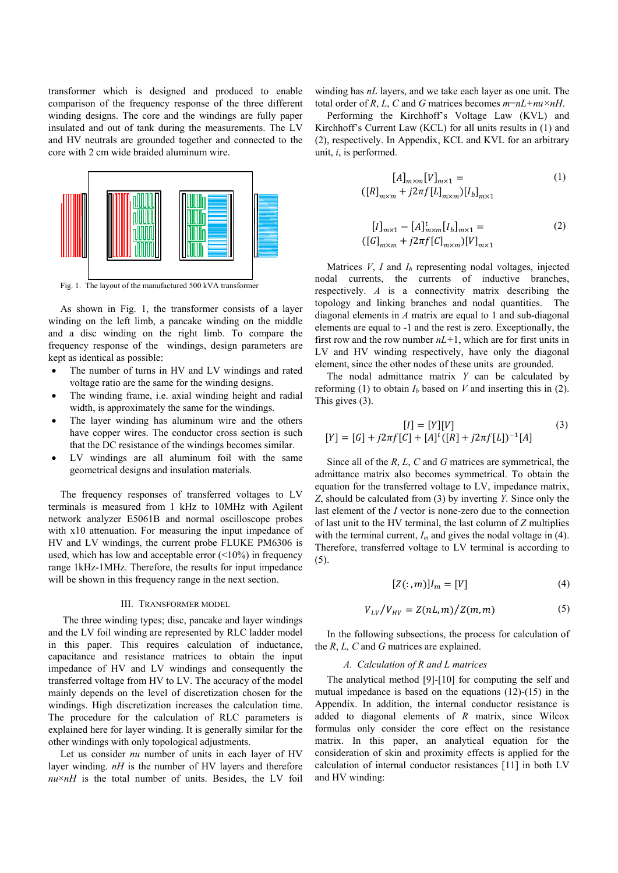transformer which is designed and produced to enable comparison of the frequency response of the three different winding designs. The core and the windings are fully paper insulated and out of tank during the measurements. The LV and HV neutrals are grounded together and connected to the core with 2 cm wide braided aluminum wire.



As shown in Fig. 1, the transformer consists of a layer winding on the left limb, a pancake winding on the middle and a disc winding on the right limb. To compare the frequency response of the windings, design parameters are kept as identical as possible:

- The number of turns in HV and LV windings and rated voltage ratio are the same for the winding designs.
- The winding frame, i.e. axial winding height and radial width, is approximately the same for the windings.
- The layer winding has aluminum wire and the others have copper wires. The conductor cross section is such that the DC resistance of the windings becomes similar.
- LV windings are all aluminum foil with the same geometrical designs and insulation materials.

The frequency responses of transferred voltages to LV terminals is measured from 1 kHz to 10MHz with Agilent network analyzer E5061B and normal oscilloscope probes with x10 attenuation. For measuring the input impedance of HV and LV windings, the current probe FLUKE PM6306 is used, which has low and acceptable error  $(\leq 10\%)$  in frequency range 1kHz-1MHz. Therefore, the results for input impedance will be shown in this frequency range in the next section.

### III. TRANSFORMER MODEL

 The three winding types; disc, pancake and layer windings and the LV foil winding are represented by RLC ladder model in this paper. This requires calculation of inductance, capacitance and resistance matrices to obtain the input impedance of HV and LV windings and consequently the transferred voltage from HV to LV. The accuracy of the model mainly depends on the level of discretization chosen for the windings. High discretization increases the calculation time. The procedure for the calculation of RLC parameters is explained here for layer winding. It is generally similar for the other windings with only topological adjustments.

Let us consider *nu* number of units in each layer of HV layer winding. *nH* is the number of HV layers and therefore  $nu \times nH$  is the total number of units. Besides, the LV foil winding has *nL* layers, and we take each layer as one unit. The total order of *R*, *L*, *C* and *G* matrices becomes  $m=nL+nu\times nH$ .

Performing the Kirchhoff's Voltage Law (KVL) and Kirchhoff's Current Law (KCL) for all units results in (1) and (2), respectively. In Appendix, KCL and KVL for an arbitrary unit, *i*, is performed.

$$
[A]_{m \times m} [V]_{m \times 1} =
$$
  
\n
$$
[[R]_{m \times m} + j2\pi f [L]_{m \times m}) [I_b]_{m \times 1}
$$
\n(1)

$$
[I]_{m \times 1} - [A]_{m \times m}^{t} [I_b]_{m \times 1} =
$$
  
( $[G]_{m \times m} + j2\pi f [G]_{m \times m} [V]_{m \times 1}$  (2)

Matrices  $V$ ,  $I$  and  $I<sub>b</sub>$  representing nodal voltages, injected nodal currents, the currents of inductive branches, respectively. *A* is a connectivity matrix describing the topology and linking branches and nodal quantities. The diagonal elements in *A* matrix are equal to 1 and sub-diagonal elements are equal to -1 and the rest is zero. Exceptionally, the first row and the row number *nL+*1, which are for first units in LV and HV winding respectively, have only the diagonal element, since the other nodes of these units are grounded.

The nodal admittance matrix *Y* can be calculated by reforming (1) to obtain  $I<sub>b</sub>$  based on *V* and inserting this in (2). This gives (3).

$$
[I] = [Y][V] \tag{3}
$$

$$
[Y] = [G] + j2\pi f[C] + [A]^t([R] + j2\pi f[L])^{-1}[A]
$$

Since all of the *R*, *L*, *C* and *G* matrices are symmetrical, the admittance matrix also becomes symmetrical. To obtain the equation for the transferred voltage to LV, impedance matrix, *Z*, should be calculated from (3) by inverting *Y.* Since only the last element of the *I* vector is none-zero due to the connection of last unit to the HV terminal, the last column of *Z* multiplies with the terminal current,  $I_m$  and gives the nodal voltage in (4). Therefore, transferred voltage to LV terminal is according to (5).

$$
[Z(:,m)]I_m = [V] \tag{4}
$$

$$
V_{LV}/V_{HV} = Z(nL, m)/Z(m, m) \tag{5}
$$

In the following subsections, the process for calculation of the *R*, *L, C* and *G* matrices are explained.

## *A. Calculation of R and L matrices*

The analytical method [9]-[10] for computing the self and mutual impedance is based on the equations (12)-(15) in the Appendix. In addition, the internal conductor resistance is added to diagonal elements of *R* matrix, since Wilcox formulas only consider the core effect on the resistance matrix. In this paper, an analytical equation for the consideration of skin and proximity effects is applied for the calculation of internal conductor resistances [11] in both LV and HV winding: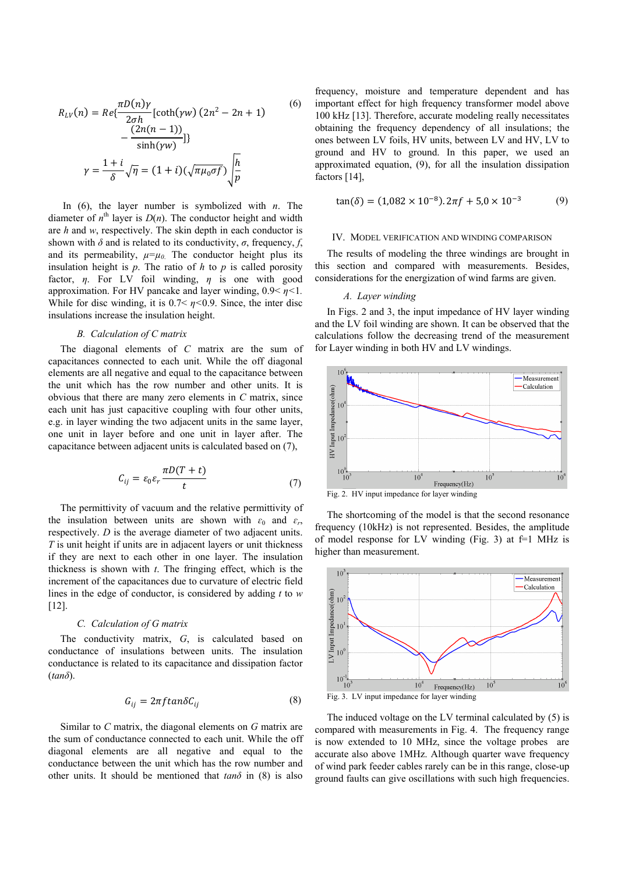$$
R_{LV}(n) = Re\{\frac{\pi D(n)\gamma}{2\sigma h} \left[\coth(\gamma w)\left(2n^2 - 2n + 1\right) - \frac{\left(2n(n-1)\right)}{\sinh(\gamma w)}\right]\}
$$
\n
$$
\gamma = \frac{1+i}{\delta} \sqrt{\eta} = (1+i)\left(\sqrt{\pi \mu_0 \sigma f}\right) \sqrt{\frac{h}{p}}
$$
\n(6)

In  $(6)$ , the layer number is symbolized with *n*. The diameter of  $n^{\text{th}}$  layer is  $D(n)$ . The conductor height and width are *h* and *w*, respectively. The skin depth in each conductor is shown with  $\delta$  and is related to its conductivity,  $\sigma$ , frequency, *f*, and its permeability,  $\mu = \mu_0$ . The conductor height plus its insulation height is  $p$ . The ratio of  $h$  to  $p$  is called porosity factor, *η*. For LV foil winding, *η* is one with good approximation. For HV pancake and layer winding, 0.9< *η<*1*.* While for disc winding, it is  $0.7 < \eta < 0.9$ . Since, the inter disc insulations increase the insulation height.

## *B. Calculation of C matrix*

The diagonal elements of *C* matrix are the sum of capacitances connected to each unit. While the off diagonal elements are all negative and equal to the capacitance between the unit which has the row number and other units. It is obvious that there are many zero elements in *C* matrix, since each unit has just capacitive coupling with four other units, e.g. in layer winding the two adjacent units in the same layer, one unit in layer before and one unit in layer after. The capacitance between adjacent units is calculated based on (7),

$$
C_{ij} = \varepsilon_0 \varepsilon_r \frac{\pi D(T+t)}{t} \tag{7}
$$

The permittivity of vacuum and the relative permittivity of the insulation between units are shown with  $\varepsilon_0$  and  $\varepsilon_r$ , respectively. *D* is the average diameter of two adjacent units. *T* is unit height if units are in adjacent layers or unit thickness if they are next to each other in one layer. The insulation thickness is shown with *t*. The fringing effect, which is the increment of the capacitances due to curvature of electric field lines in the edge of conductor, is considered by adding *t* to *w* [12].

## *C. Calculation of G matrix*

The conductivity matrix, *G*, is calculated based on conductance of insulations between units. The insulation conductance is related to its capacitance and dissipation factor (*tanδ*).

$$
G_{ij} = 2\pi f \tan \delta C_{ij} \tag{8}
$$

Similar to *C* matrix, the diagonal elements on *G* matrix are the sum of conductance connected to each unit. While the off diagonal elements are all negative and equal to the conductance between the unit which has the row number and other units. It should be mentioned that  $tan\delta$  in (8) is also

frequency, moisture and temperature dependent and has important effect for high frequency transformer model above 100 kHz [13]. Therefore, accurate modeling really necessitates obtaining the frequency dependency of all insulations; the ones between LV foils, HV units, between LV and HV, LV to ground and HV to ground. In this paper, we used an approximated equation, (9), for all the insulation dissipation factors [14],

$$
\tan(\delta) = (1.082 \times 10^{-8}) \cdot 2\pi f + 5.0 \times 10^{-3} \tag{9}
$$

#### IV. MODEL VERIFICATION AND WINDING COMPARISON

The results of modeling the three windings are brought in this section and compared with measurements. Besides, considerations for the energization of wind farms are given.

# *A. Layer winding*

In Figs. 2 and 3, the input impedance of HV layer winding and the LV foil winding are shown. It can be observed that the calculations follow the decreasing trend of the measurement for Layer winding in both HV and LV windings.



Fig. 2. HV input impedance for layer winding

The shortcoming of the model is that the second resonance frequency (10kHz) is not represented. Besides, the amplitude of model response for LV winding (Fig. 3) at  $f=1$  MHz is higher than measurement.



The induced voltage on the LV terminal calculated by (5) is compared with measurements in Fig. 4. The frequency range is now extended to 10 MHz, since the voltage probes are accurate also above 1MHz. Although quarter wave frequency of wind park feeder cables rarely can be in this range, close-up ground faults can give oscillations with such high frequencies.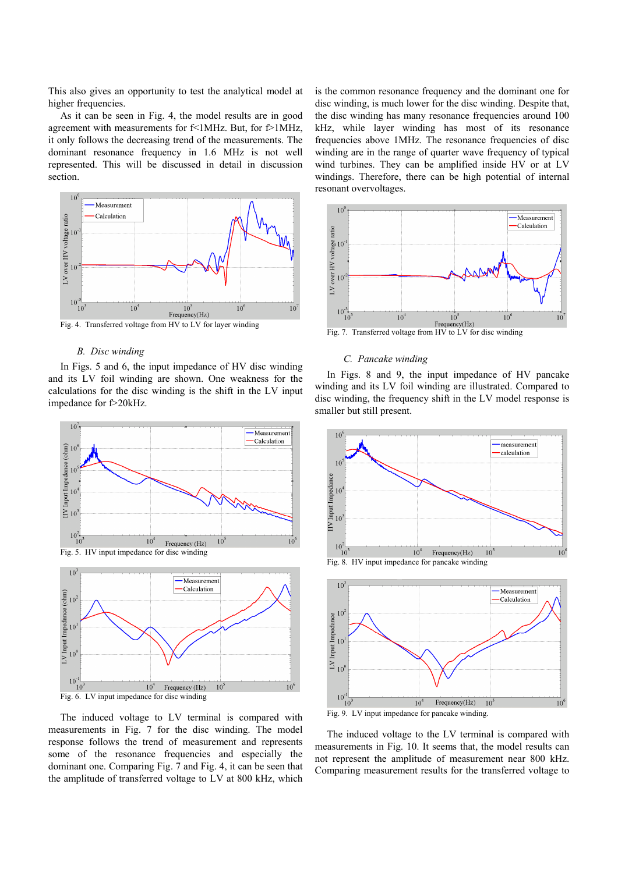This also gives an opportunity to test the analytical model at higher frequencies.

As it can be seen in Fig. 4, the model results are in good agreement with measurements for f<1MHz. But, for f>1MHz, it only follows the decreasing trend of the measurements. The dominant resonance frequency in 1.6 MHz is not well represented. This will be discussed in detail in discussion section.



Fig. 4. Transferred voltage from HV to LV for layer winding

# *B. Disc winding*

In Figs. 5 and 6, the input impedance of HV disc winding and its LV foil winding are shown. One weakness for the calculations for the disc winding is the shift in the LV input impedance for f>20kHz.





The induced voltage to LV terminal is compared with measurements in Fig. 7 for the disc winding. The model response follows the trend of measurement and represents some of the resonance frequencies and especially the dominant one. Comparing Fig. 7 and Fig. 4, it can be seen that the amplitude of transferred voltage to LV at 800 kHz, which

is the common resonance frequency and the dominant one for disc winding, is much lower for the disc winding. Despite that, the disc winding has many resonance frequencies around 100 kHz, while layer winding has most of its resonance frequencies above 1MHz. The resonance frequencies of disc winding are in the range of quarter wave frequency of typical wind turbines. They can be amplified inside HV or at LV windings. Therefore, there can be high potential of internal resonant overvoltages.



Fig. 7. Transferred voltage from HV to LV for disc winding

# *C. Pancake winding*

In Figs. 8 and 9, the input impedance of HV pancake winding and its LV foil winding are illustrated. Compared to disc winding, the frequency shift in the LV model response is smaller but still present.





Fig. 9. LV input impedance for pancake winding.

The induced voltage to the LV terminal is compared with measurements in Fig. 10. It seems that, the model results can not represent the amplitude of measurement near 800 kHz. Comparing measurement results for the transferred voltage to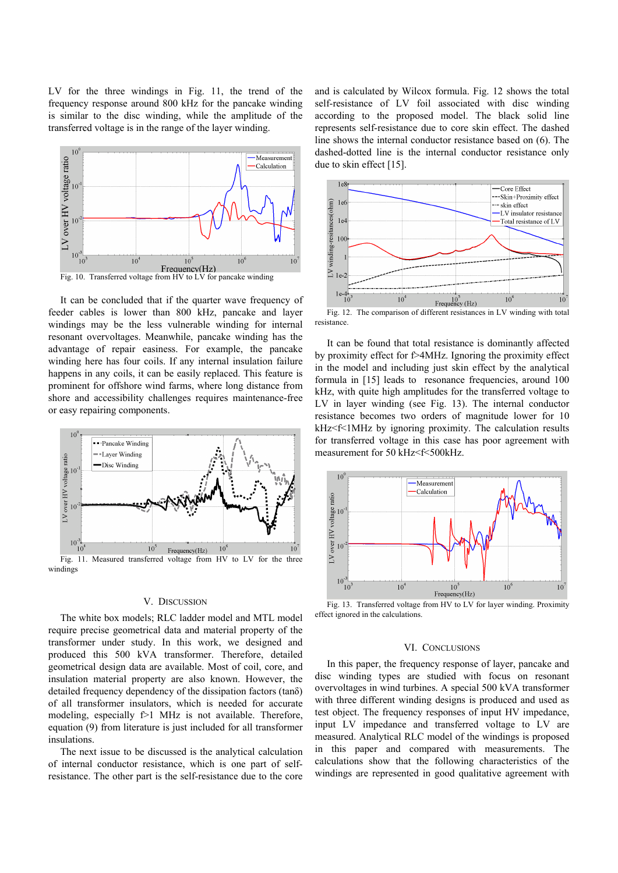LV for the three windings in Fig. 11, the trend of the frequency response around 800 kHz for the pancake winding is similar to the disc winding, while the amplitude of the transferred voltage is in the range of the layer winding.



It can be concluded that if the quarter wave frequency of feeder cables is lower than 800 kHz, pancake and layer windings may be the less vulnerable winding for internal resonant overvoltages. Meanwhile, pancake winding has the advantage of repair easiness. For example, the pancake winding here has four coils. If any internal insulation failure happens in any coils, it can be easily replaced. This feature is prominent for offshore wind farms, where long distance from shore and accessibility challenges requires maintenance-free or easy repairing components.



#### V. DISCUSSION

The white box models; RLC ladder model and MTL model require precise geometrical data and material property of the transformer under study. In this work, we designed and produced this 500 kVA transformer. Therefore, detailed geometrical design data are available. Most of coil, core, and insulation material property are also known. However, the detailed frequency dependency of the dissipation factors (tanδ) of all transformer insulators, which is needed for accurate modeling, especially  $f > 1$  MHz is not available. Therefore, equation (9) from literature is just included for all transformer insulations.

The next issue to be discussed is the analytical calculation of internal conductor resistance, which is one part of selfresistance. The other part is the self-resistance due to the core and is calculated by Wilcox formula. Fig. 12 shows the total self-resistance of LV foil associated with disc winding according to the proposed model. The black solid line represents self-resistance due to core skin effect. The dashed line shows the internal conductor resistance based on (6). The dashed-dotted line is the internal conductor resistance only due to skin effect [15].



Fig. 12. The comparison of different resistances in LV winding with total resistance.

It can be found that total resistance is dominantly affected by proximity effect for f>4MHz. Ignoring the proximity effect in the model and including just skin effect by the analytical formula in [15] leads to resonance frequencies, around 100 kHz, with quite high amplitudes for the transferred voltage to LV in layer winding (see Fig. 13). The internal conductor resistance becomes two orders of magnitude lower for 10 kHz<f<1MHz by ignoring proximity. The calculation results for transferred voltage in this case has poor agreement with measurement for 50 kHz<f<500kHz.



Fig. 13. Transferred voltage from HV to LV for layer winding. Proximity effect ignored in the calculations.

#### VI. CONCLUSIONS

In this paper, the frequency response of layer, pancake and disc winding types are studied with focus on resonant overvoltages in wind turbines. A special 500 kVA transformer with three different winding designs is produced and used as test object. The frequency responses of input HV impedance, input LV impedance and transferred voltage to LV are measured. Analytical RLC model of the windings is proposed in this paper and compared with measurements. The calculations show that the following characteristics of the windings are represented in good qualitative agreement with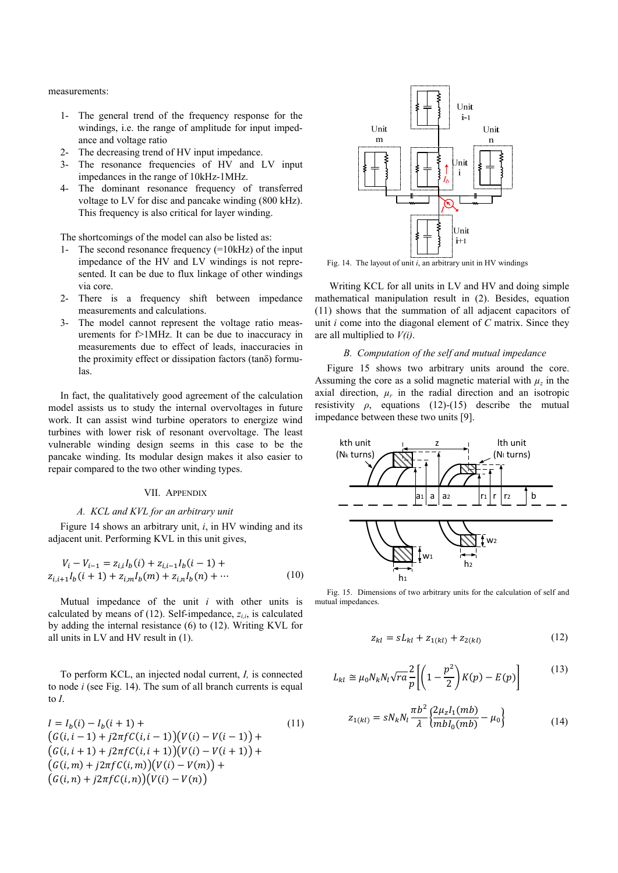measurements:

- 1- The general trend of the frequency response for the windings, i.e. the range of amplitude for input impedance and voltage ratio
- 2- The decreasing trend of HV input impedance.
- 3- The resonance frequencies of HV and LV input impedances in the range of 10kHz-1MHz.
- 4- The dominant resonance frequency of transferred voltage to LV for disc and pancake winding (800 kHz). This frequency is also critical for layer winding.

The shortcomings of the model can also be listed as:

- 1- The second resonance frequency (=10kHz) of the input impedance of the HV and LV windings is not represented. It can be due to flux linkage of other windings via core.
- 2- There is a frequency shift between impedance measurements and calculations.
- 3- The model cannot represent the voltage ratio measurements for f>1MHz. It can be due to inaccuracy in measurements due to effect of leads, inaccuracies in the proximity effect or dissipation factors (tanδ) formulas.

In fact, the qualitatively good agreement of the calculation model assists us to study the internal overvoltages in future work. It can assist wind turbine operators to energize wind turbines with lower risk of resonant overvoltage. The least vulnerable winding design seems in this case to be the pancake winding. Its modular design makes it also easier to repair compared to the two other winding types.

# VII. APPENDIX

## *A. KCL and KVL for an arbitrary unit*

Figure 14 shows an arbitrary unit, *i*, in HV winding and its adjacent unit. Performing KVL in this unit gives,

$$
V_i - V_{i-1} = z_{i,i}I_b(i) + z_{i,i-1}I_b(i-1) +
$$
  

$$
z_{i,i+1}I_b(i+1) + z_{i,m}I_b(m) + z_{i,n}I_b(n) + \cdots
$$
 (10)

Mutual impedance of the unit *i* with other units is calculated by means of  $(12)$ . Self-impedance,  $z_{ij}$ , is calculated by adding the internal resistance (6) to (12). Writing KVL for all units in LV and HV result in (1).

To perform KCL, an injected nodal current, *I,* is connected to node *i* (see Fig. 14). The sum of all branch currents is equal to *I*.

$$
I = I_b(i) - I_b(i + 1) +
$$
  
\n
$$
(G(i, i - 1) + j2\pi fC(i, i - 1))(V(i) - V(i - 1)) +
$$
  
\n
$$
(G(i, i + 1) + j2\pi fC(i, i + 1))(V(i) - V(i + 1)) +
$$
  
\n
$$
(G(i, m) + j2\pi fC(i, m))(V(i) - V(m)) +
$$
  
\n
$$
(G(i, n) + j2\pi fC(i, n))(V(i) - V(n))
$$
\n(11)

 $)$ 



Fig. 14. The layout of unit *i*, an arbitrary unit in HV windings

 Writing KCL for all units in LV and HV and doing simple mathematical manipulation result in (2). Besides, equation (11) shows that the summation of all adjacent capacitors of unit *i* come into the diagonal element of *C* matrix. Since they are all multiplied to *V(i)*.

## *B. Computation of the self and mutual impedance*

Figure 15 shows two arbitrary units around the core. Assuming the core as a solid magnetic material with  $\mu_z$  in the axial direction,  $\mu_r$  in the radial direction and an isotropic resistivity  $\rho$ , equations (12)-(15) describe the mutual impedance between these two units [9].



Fig. 15. Dimensions of two arbitrary units for the calculation of self and mutual impedances.

$$
z_{kl} = sL_{kl} + z_{1(kl)} + z_{2(kl)} \tag{12}
$$

$$
L_{kl} \cong \mu_0 N_k N_l \sqrt{ra} \frac{2}{p} \left[ \left( 1 - \frac{p^2}{2} \right) K(p) - E(p) \right]
$$
 (13)

$$
z_{1(kl)} = sN_k N_l \frac{\pi b^2}{\lambda} \left\{ \frac{2\mu_z I_1(mb)}{mb I_0(mb)} - \mu_0 \right\}
$$
(14)